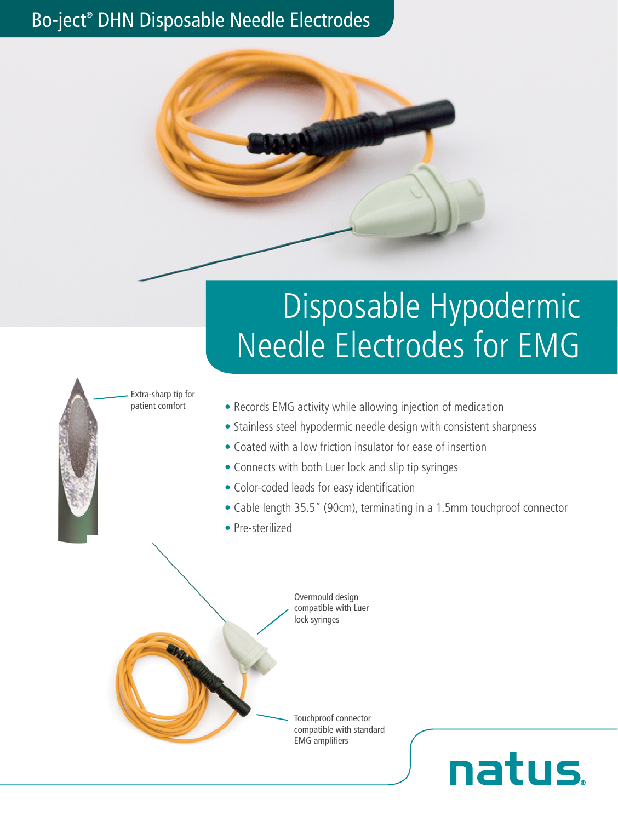# Bo-ject® DHN Disposable Needle Electrodes



# Disposable Hypodermic Needle Electrodes for EMG

Extra-sharp tip for patient comfort

- Records EMG activity while allowing injection of medication
- Stainless steel hypodermic needle design with consistent sharpness
- Coated with a low friction insulator for ease of insertion
- Connects with both Luer lock and slip tip syringes
- Color-coded leads for easy identification
- Cable length 35.5" (90cm), terminating in a 1.5mm touchproof connector

natus.

• Pre-sterilized

Overmould design compatible with Luer lock syringes

Touchproof connector compatible with standard EMG amplifiers